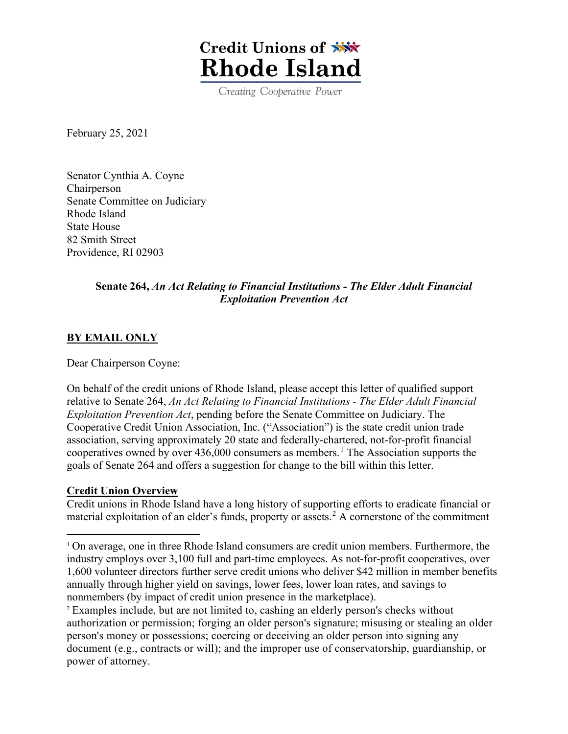

Creating Cooperative Power

February 25, 2021

Senator Cynthia A. Coyne Chairperson Senate Committee on Judiciary Rhode Island State House 82 Smith Street Providence, RI 02903

## **Senate 264,** *An Act Relating to Financial Institutions - The Elder Adult Financial Exploitation Prevention Act*

### **BY EMAIL ONLY**

Dear Chairperson Coyne:

On behalf of the credit unions of Rhode Island, please accept this letter of qualified support relative to Senate 264, *An Act Relating to Financial Institutions - The Elder Adult Financial Exploitation Prevention Act*, pending before the Senate Committee on Judiciary. The Cooperative Credit Union Association, Inc. ("Association") is the state credit union trade association, serving approximately 20 state and federally-chartered, not-for-profit financial cooperatives owned by over 436,000 consumers as members. [1](#page-0-0) The Association supports the goals of Senate 264 and offers a suggestion for change to the bill within this letter.

#### **Credit Union Overview**

Credit unions in Rhode Island have a long history of supporting efforts to eradicate financial or material exploitation of an elder's funds, property or assets. [2](#page-0-1) A cornerstone of the commitment

<span id="page-0-0"></span><sup>&</sup>lt;sup>1</sup> On average, one in three Rhode Island consumers are credit union members. Furthermore, the industry employs over 3,100 full and part-time employees. As not-for-profit cooperatives, over 1,600 volunteer directors further serve credit unions who deliver \$42 million in member benefits annually through higher yield on savings, lower fees, lower loan rates, and savings to nonmembers (by impact of credit union presence in the marketplace).

<span id="page-0-1"></span><sup>2</sup> Examples include, but are not limited to, cashing an elderly person's checks without authorization or permission; forging an older person's signature; misusing or stealing an older person's money or possessions; coercing or deceiving an older person into signing any document (e.g., contracts or will); and the improper use of conservatorship, guardianship, or power of attorney.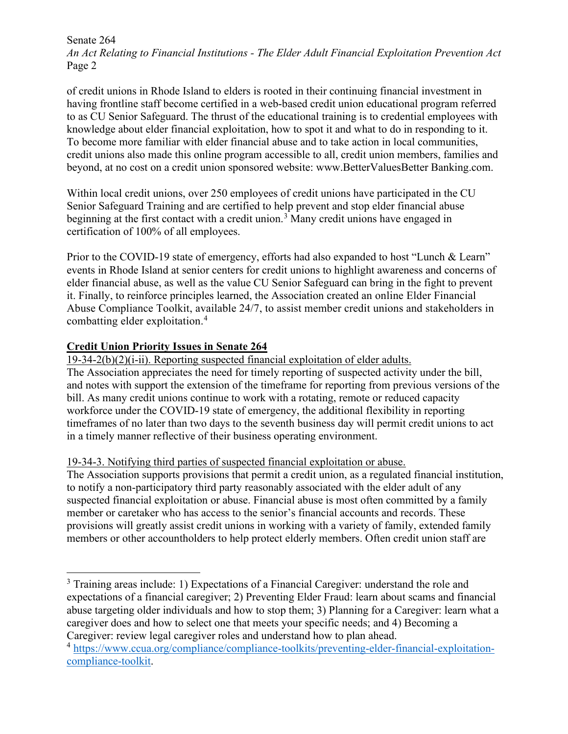Senate 264 *An Act Relating to Financial Institutions - The Elder Adult Financial Exploitation Prevention Act* Page 2

of credit unions in Rhode Island to elders is rooted in their continuing financial investment in having frontline staff become certified in a web-based credit union educational program referred to as CU Senior Safeguard. The thrust of the educational training is to credential employees with knowledge about elder financial exploitation, how to spot it and what to do in responding to it. To become more familiar with elder financial abuse and to take action in local communities, credit unions also made this online program accessible to all, credit union members, families and beyond, at no cost on a credit union sponsored website: www.BetterValuesBetter Banking.com.

Within local credit unions, over 250 employees of credit unions have participated in the CU Senior Safeguard Training and are certified to help prevent and stop elder financial abuse beginning at the first contact with a credit union.<sup>[3](#page-1-0)</sup> Many credit unions have engaged in certification of 100% of all employees.

Prior to the COVID-19 state of emergency, efforts had also expanded to host "Lunch & Learn" events in Rhode Island at senior centers for credit unions to highlight awareness and concerns of elder financial abuse, as well as the value CU Senior Safeguard can bring in the fight to prevent it. Finally, to reinforce principles learned, the Association created an online Elder Financial Abuse Compliance Toolkit, available 24/7, to assist member credit unions and stakeholders in combatting elder exploitation.[4](#page-1-1)

# **Credit Union Priority Issues in Senate 264**

19-34-2(b)(2)(i-ii). Reporting suspected financial exploitation of elder adults.

The Association appreciates the need for timely reporting of suspected activity under the bill, and notes with support the extension of the timeframe for reporting from previous versions of the bill. As many credit unions continue to work with a rotating, remote or reduced capacity workforce under the COVID-19 state of emergency, the additional flexibility in reporting timeframes of no later than two days to the seventh business day will permit credit unions to act in a timely manner reflective of their business operating environment.

## 19-34-3. Notifying third parties of suspected financial exploitation or abuse.

The Association supports provisions that permit a credit union, as a regulated financial institution, to notify a non-participatory third party reasonably associated with the elder adult of any suspected financial exploitation or abuse. Financial abuse is most often committed by a family member or caretaker who has access to the senior's financial accounts and records. These provisions will greatly assist credit unions in working with a variety of family, extended family members or other accountholders to help protect elderly members. Often credit union staff are

<span id="page-1-0"></span><sup>&</sup>lt;sup>3</sup> Training areas include: 1) Expectations of a Financial Caregiver: understand the role and expectations of a financial caregiver; 2) Preventing Elder Fraud: learn about scams and financial abuse targeting older individuals and how to stop them; 3) Planning for a Caregiver: learn what a caregiver does and how to select one that meets your specific needs; and 4) Becoming a Caregiver: review legal caregiver roles and understand how to plan ahead.

<span id="page-1-1"></span><sup>4</sup> [https://www.ccua.org/compliance/compliance-toolkits/preventing-elder-financial-exploitation](https://www.ccua.org/compliance/compliance-toolkits/preventing-elder-financial-exploitation-compliance-toolkit)[compliance-toolkit.](https://www.ccua.org/compliance/compliance-toolkits/preventing-elder-financial-exploitation-compliance-toolkit)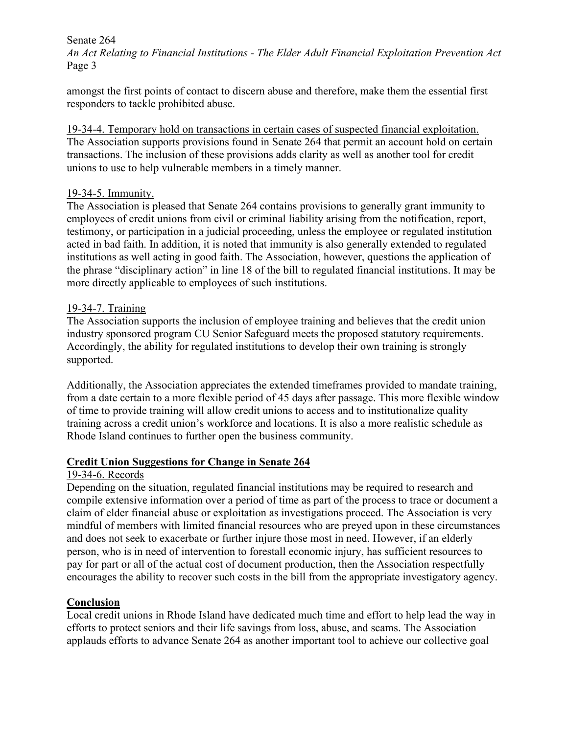Senate 264

*An Act Relating to Financial Institutions - The Elder Adult Financial Exploitation Prevention Act* Page 3

amongst the first points of contact to discern abuse and therefore, make them the essential first responders to tackle prohibited abuse.

19-34-4. Temporary hold on transactions in certain cases of suspected financial exploitation. The Association supports provisions found in Senate 264 that permit an account hold on certain transactions. The inclusion of these provisions adds clarity as well as another tool for credit unions to use to help vulnerable members in a timely manner.

### 19-34-5. Immunity.

The Association is pleased that Senate 264 contains provisions to generally grant immunity to employees of credit unions from civil or criminal liability arising from the notification, report, testimony, or participation in a judicial proceeding, unless the employee or regulated institution acted in bad faith. In addition, it is noted that immunity is also generally extended to regulated institutions as well acting in good faith. The Association, however, questions the application of the phrase "disciplinary action" in line 18 of the bill to regulated financial institutions. It may be more directly applicable to employees of such institutions.

### 19-34-7. Training

The Association supports the inclusion of employee training and believes that the credit union industry sponsored program CU Senior Safeguard meets the proposed statutory requirements. Accordingly, the ability for regulated institutions to develop their own training is strongly supported.

Additionally, the Association appreciates the extended timeframes provided to mandate training, from a date certain to a more flexible period of 45 days after passage. This more flexible window of time to provide training will allow credit unions to access and to institutionalize quality training across a credit union's workforce and locations. It is also a more realistic schedule as Rhode Island continues to further open the business community.

## **Credit Union Suggestions for Change in Senate 264**

## 19-34-6. Records

Depending on the situation, regulated financial institutions may be required to research and compile extensive information over a period of time as part of the process to trace or document a claim of elder financial abuse or exploitation as investigations proceed. The Association is very mindful of members with limited financial resources who are preyed upon in these circumstances and does not seek to exacerbate or further injure those most in need. However, if an elderly person, who is in need of intervention to forestall economic injury, has sufficient resources to pay for part or all of the actual cost of document production, then the Association respectfully encourages the ability to recover such costs in the bill from the appropriate investigatory agency.

## **Conclusion**

Local credit unions in Rhode Island have dedicated much time and effort to help lead the way in efforts to protect seniors and their life savings from loss, abuse, and scams. The Association applauds efforts to advance Senate 264 as another important tool to achieve our collective goal